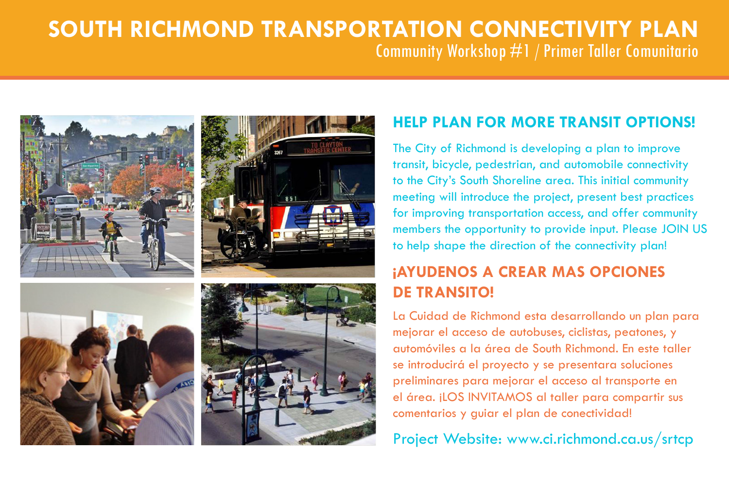# **South Richmond Transportation Connectivity Plan** Community Workshop #1 / Primer Taller Comunitario



## **Help Plan for more Transit Options!**

The City of Richmond is developing a plan to improve transit, bicycle, pedestrian, and automobile connectivity to the City's South Shoreline area. This initial community meeting will introduce the project, present best practices for improving transportation access, and offer community members the opportunity to provide input. Please JOIN US to help shape the direction of the connectivity plan!

# **¡AYUDENOS A CREAR MAS OPCIONES De Transito!**

La Cuidad de Richmond esta desarrollando un plan para mejorar el acceso de autobuses, ciclistas, peatones, y automóviles a la área de South Richmond. En este taller se introducirá el proyecto y se presentara soluciones preliminares para mejorar el acceso al transporte en el área. ¡LOS INVITAMOS al taller para compartir sus comentarios y guiar el plan de conectividad!

Project Website: www.ci.richmond.ca.us/srtcp